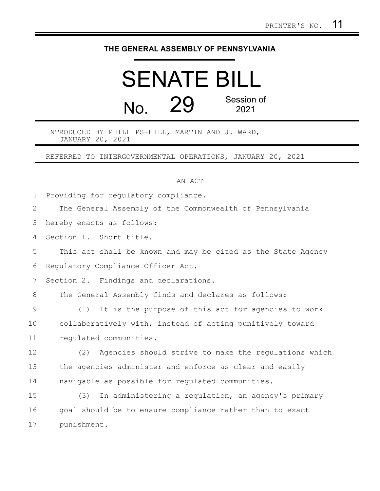## **THE GENERAL ASSEMBLY OF PENNSYLVANIA**

## SENATE BILL  $N<sub>0</sub>$  29 Session of 2021

INTRODUCED BY PHILLIPS-HILL, MARTIN AND J. WARD, JANUARY 20, 2021

REFERRED TO INTERGOVERNMENTAL OPERATIONS, JANUARY 20, 2021

AN ACT

Providing for regulatory compliance. 1

The General Assembly of the Commonwealth of Pennsylvania 2

hereby enacts as follows: 3

Section 1. Short title. 4

This act shall be known and may be cited as the State Agency 5

Regulatory Compliance Officer Act. 6

Section 2. Findings and declarations. 7

The General Assembly finds and declares as follows: 8

(1) It is the purpose of this act for agencies to work collaboratively with, instead of acting punitively toward regulated communities. 9 10 11

(2) Agencies should strive to make the regulations which the agencies administer and enforce as clear and easily navigable as possible for regulated communities. 12 13 14

(3) In administering a regulation, an agency's primary goal should be to ensure compliance rather than to exact punishment. 15 16 17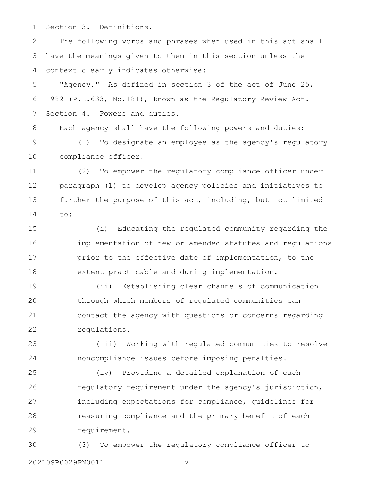Section 3. Definitions. 1

The following words and phrases when used in this act shall have the meanings given to them in this section unless the context clearly indicates otherwise: 2 3 4

"Agency." As defined in section 3 of the act of June 25, 1982 (P.L.633, No.181), known as the Regulatory Review Act. Section 4. Powers and duties. 5 6 7

Each agency shall have the following powers and duties: (1) To designate an employee as the agency's regulatory compliance officer. 8 9 10

(2) To empower the regulatory compliance officer under paragraph (1) to develop agency policies and initiatives to further the purpose of this act, including, but not limited to: 11 12 13 14

(i) Educating the regulated community regarding the implementation of new or amended statutes and regulations prior to the effective date of implementation, to the extent practicable and during implementation. 15 16 17 18

(ii) Establishing clear channels of communication through which members of regulated communities can contact the agency with questions or concerns regarding regulations. 19 20 21 22

(iii) Working with regulated communities to resolve noncompliance issues before imposing penalties. 23 24

(iv) Providing a detailed explanation of each regulatory requirement under the agency's jurisdiction, including expectations for compliance, guidelines for measuring compliance and the primary benefit of each requirement. 25 26 27 28 29

(3) To empower the regulatory compliance officer to 20210SB0029PN0011 - 2 -30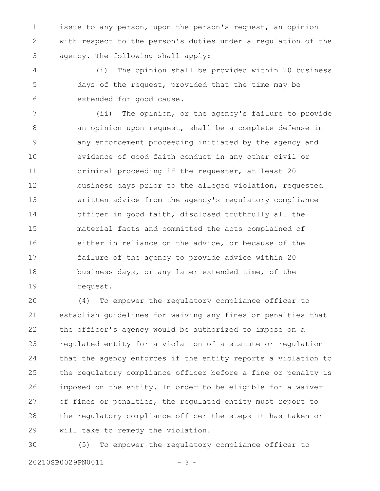issue to any person, upon the person's request, an opinion with respect to the person's duties under a regulation of the agency. The following shall apply: 1 2 3

(i) The opinion shall be provided within 20 business days of the request, provided that the time may be extended for good cause. 4 5 6

(ii) The opinion, or the agency's failure to provide an opinion upon request, shall be a complete defense in any enforcement proceeding initiated by the agency and evidence of good faith conduct in any other civil or criminal proceeding if the requester, at least 20 business days prior to the alleged violation, requested written advice from the agency's regulatory compliance officer in good faith, disclosed truthfully all the material facts and committed the acts complained of either in reliance on the advice, or because of the failure of the agency to provide advice within 20 business days, or any later extended time, of the request. 7 8 9 10 11 12 13 14 15 16 17 18 19

(4) To empower the regulatory compliance officer to establish guidelines for waiving any fines or penalties that the officer's agency would be authorized to impose on a regulated entity for a violation of a statute or regulation that the agency enforces if the entity reports a violation to the regulatory compliance officer before a fine or penalty is imposed on the entity. In order to be eligible for a waiver of fines or penalties, the regulated entity must report to the regulatory compliance officer the steps it has taken or will take to remedy the violation. 20 21 22 23 24 25 26 27 28 29

(5) To empower the regulatory compliance officer to 20210SB0029PN0011 - 3 -30